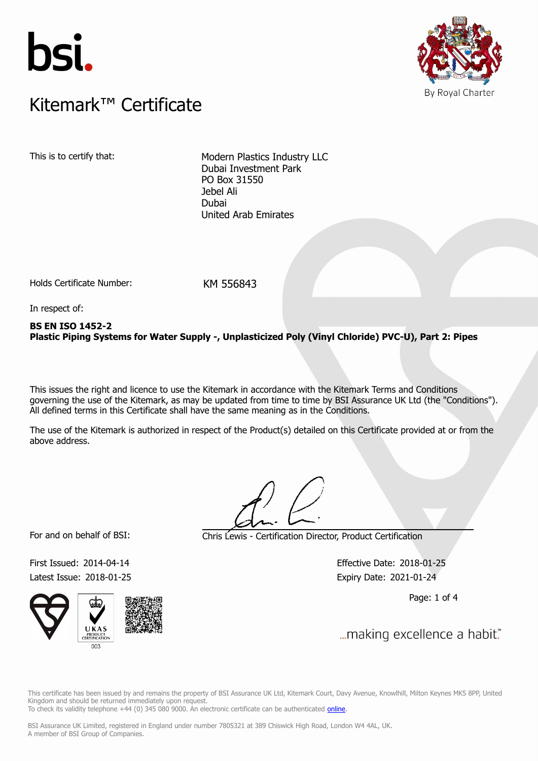



## $K$ itemark $W$  Certificate Kitemark™ Certificate

This is to certify that: Modern Plastics Industry LLC Dubai Investment Park PO Box 31550 Jebel Ali Dubai United Arab Emirates

Holds Certificate Number: KM 556843

In respect of:

### **BS EN ISO 1452-2 Plastic Piping Systems for Water Supply -, Unplasticized Poly (Vinyl Chloride) PVC-U), Part 2: Pipes**

This issues the right and licence to use the Kitemark in accordance with the Kitemark Terms and Conditions governing the use of the Kitemark, as may be updated from time to time by BSI Assurance UK Ltd (the "Conditions"). All defined terms in this Certificate shall have the same meaning as in the Conditions.

The use of the Kitemark is authorized in respect of the Product(s) detailed on this Certificate provided at or from the above address.

For and on behalf of BSI: Chris Lewis - Certification Director, Product Certification

First Issued: 2014-04-14 Effective Date: 2018-01-25 Latest Issue: 2018-01-25 Expiry Date: 2021-01-24

Page: 1 of 4

U K A **PRODUC**<br>RTIFICAT  $\frac{1}{2003}$ 

... making excellence a habit."

This certificate has been issued by and remains the property of BSI Assurance UK Ltd, Kitemark Court, Davy Avenue, Knowlhill, Milton Keynes MK5 8PP, United Kingdom and should be returned immediately upon request. To check its validity telephone +44 (0) 345 080 9000. An electronic certificate can be authenticated *[online](https://pgplus.bsigroup.com/CertificateValidation/CertificateValidator.aspx?CertificateNumber=KM+556843&ReIssueDate=25%2f01%2f2018&Template=uk)*.

BSI Assurance UK Limited, registered in England under number 7805321 at 389 Chiswick High Road, London W4 4AL, UK.

A member of BSI Group of Companies.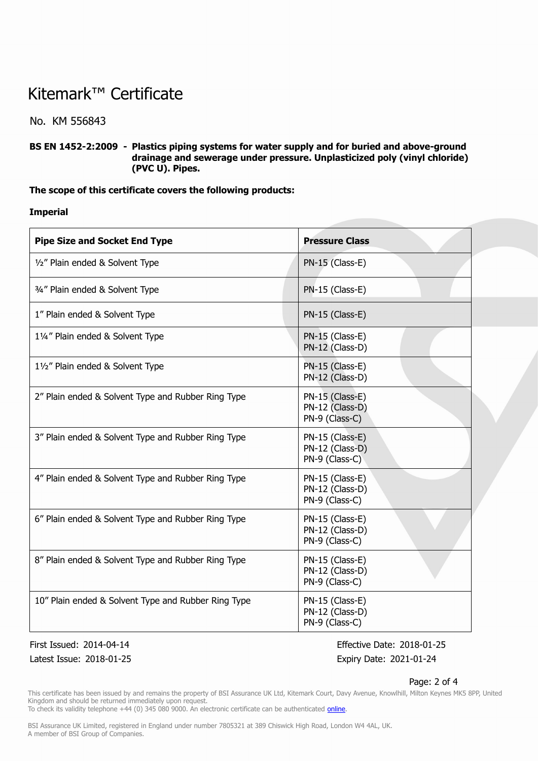## Kitemark™ Certificate

No. KM 556843

**BS EN 1452-2:2009 - Plastics piping systems for water supply and for buried and above-ground drainage and sewerage under pressure. Unplasticized poly (vinyl chloride) (PVC U). Pipes.**

#### **The scope of this certificate covers the following products:**

**Imperial**

| <b>Pipe Size and Socket End Type</b>                | <b>Pressure Class</b>                                |
|-----------------------------------------------------|------------------------------------------------------|
| 1/2" Plain ended & Solvent Type                     | $PN-15$ (Class-E)                                    |
| 3/4" Plain ended & Solvent Type                     | PN-15 (Class-E)                                      |
| 1" Plain ended & Solvent Type                       | PN-15 (Class-E)                                      |
| 11/4" Plain ended & Solvent Type                    | PN-15 (Class-E)<br>PN-12 (Class-D)                   |
| 11/2" Plain ended & Solvent Type                    | PN-15 (Class-E)<br>PN-12 (Class-D)                   |
| 2" Plain ended & Solvent Type and Rubber Ring Type  | PN-15 (Class-E)<br>PN-12 (Class-D)<br>PN-9 (Class-C) |
| 3" Plain ended & Solvent Type and Rubber Ring Type  | PN-15 (Class-E)<br>PN-12 (Class-D)<br>PN-9 (Class-C) |
| 4" Plain ended & Solvent Type and Rubber Ring Type  | PN-15 (Class-E)<br>PN-12 (Class-D)<br>PN-9 (Class-C) |
| 6" Plain ended & Solvent Type and Rubber Ring Type  | PN-15 (Class-E)<br>PN-12 (Class-D)<br>PN-9 (Class-C) |
| 8" Plain ended & Solvent Type and Rubber Ring Type  | PN-15 (Class-E)<br>PN-12 (Class-D)<br>PN-9 (Class-C) |
| 10" Plain ended & Solvent Type and Rubber Ring Type | PN-15 (Class-E)<br>PN-12 (Class-D)<br>PN-9 (Class-C) |

Latest Issue: 2018-01-25 Expiry Date: 2021-01-24

First Issued: 2014-04-14 Effective Date: 2018-01-25

#### Page: 2 of 4

This certificate has been issued by and remains the property of BSI Assurance UK Ltd, Kitemark Court, Davy Avenue, Knowlhill, Milton Keynes MK5 8PP, United Kingdom and should be returned immediately upon request.

To check its validity telephone +44 (0) 345 080 9000. An electronic certificate can be authenticated *[online](https://pgplus.bsigroup.com/CertificateValidation/CertificateValidator.aspx?CertificateNumber=KM+556843&ReIssueDate=25%2f01%2f2018&Template=uk)*.

BSI Assurance UK Limited, registered in England under number 7805321 at 389 Chiswick High Road, London W4 4AL, UK. A member of BSI Group of Companies.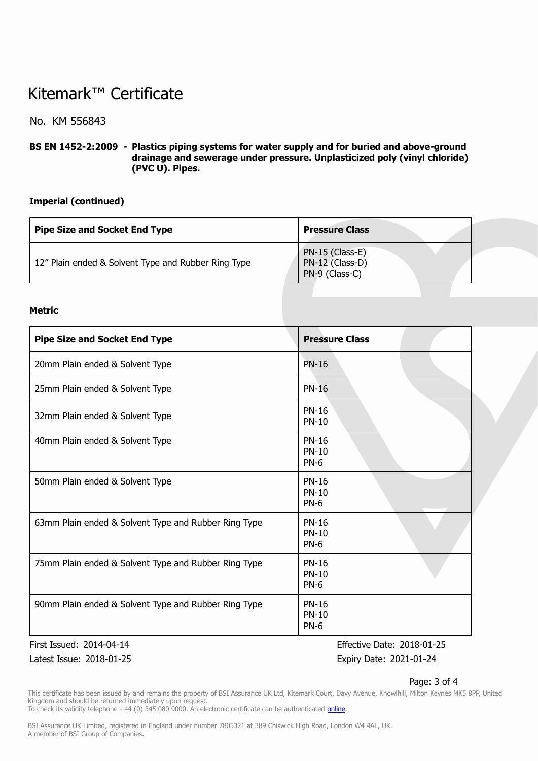## Kitemark™ Certificate

## No. KM 556843

**BS EN 1452-2:2009 - Plastics piping systems for water supply and for buried and above-ground drainage and sewerage under pressure. Unplasticized poly (vinyl chloride) (PVC U). Pipes.**

### **Imperial (continued)**

| <b>Pipe Size and Socket End Type</b>                | <b>Pressure Class</b>                                |  |
|-----------------------------------------------------|------------------------------------------------------|--|
| 12" Plain ended & Solvent Type and Rubber Ring Type | PN-15 (Class-E)<br>PN-12 (Class-D)<br>PN-9 (Class-C) |  |

#### **Metric**

| <b>Pipe Size and Socket End Type</b>                 | <b>Pressure Class</b>                       |
|------------------------------------------------------|---------------------------------------------|
| 20mm Plain ended & Solvent Type                      | <b>PN-16</b>                                |
| 25mm Plain ended & Solvent Type                      | <b>PN-16</b>                                |
| 32mm Plain ended & Solvent Type                      | <b>PN-16</b><br><b>PN-10</b>                |
| 40mm Plain ended & Solvent Type                      | <b>PN-16</b><br><b>PN-10</b><br><b>PN-6</b> |
| 50mm Plain ended & Solvent Type                      | <b>PN-16</b><br><b>PN-10</b><br>$PN-6$      |
| 63mm Plain ended & Solvent Type and Rubber Ring Type | <b>PN-16</b><br><b>PN-10</b><br>$PN-6$      |
| 75mm Plain ended & Solvent Type and Rubber Ring Type | <b>PN-16</b><br>$PN-10$<br>$PN-6$           |
| 90mm Plain ended & Solvent Type and Rubber Ring Type | <b>PN-16</b><br><b>PN-10</b><br>$PN-6$      |

Latest Issue: 2018-01-25 Expiry Date: 2021-01-24

First Issued: 2014-04-14 Effective Date: 2018-01-25

#### Page: 3 of 4

This certificate has been issued by and remains the property of BSI Assurance UK Ltd, Kitemark Court, Davy Avenue, Knowlhill, Milton Keynes MK5 8PP, United Kingdom and should be returned immediately upon request.

To check its validity telephone +44 (0) 345 080 9000. An electronic certificate can be authenticated *[online](https://pgplus.bsigroup.com/CertificateValidation/CertificateValidator.aspx?CertificateNumber=KM+556843&ReIssueDate=25%2f01%2f2018&Template=uk)*.

BSI Assurance UK Limited, registered in England under number 7805321 at 389 Chiswick High Road, London W4 4AL, UK. A member of BSI Group of Companies.